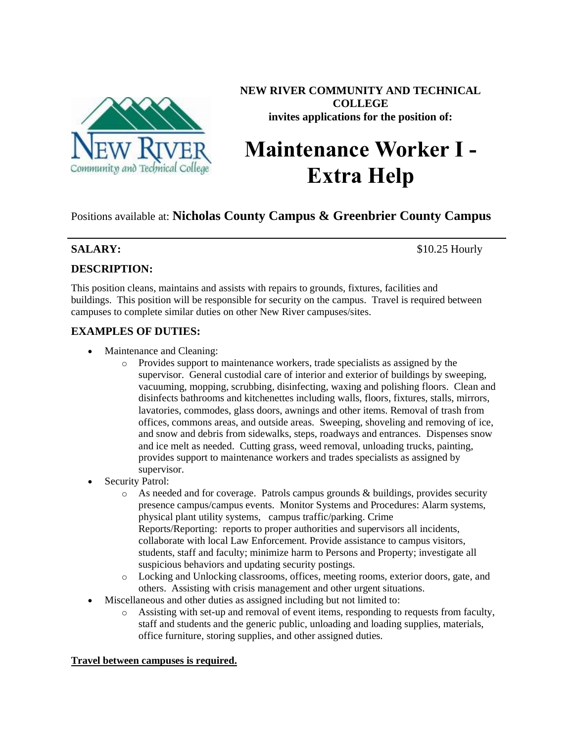

**NEW RIVER COMMUNITY AND TECHNICAL COLLEGE invites applications for the position of:**

# **Maintenance Worker I - Extra Help**

Positions available at: **Nicholas County Campus & Greenbrier County Campus**

**SALARY:** \$10.25 Hourly

# **DESCRIPTION:**

This position cleans, maintains and assists with repairs to grounds, fixtures, facilities and buildings. This position will be responsible for security on the campus. Travel is required between campuses to complete similar duties on other New River campuses/sites.

# **EXAMPLES OF DUTIES:**

- Maintenance and Cleaning:
	- o Provides support to maintenance workers, trade specialists as assigned by the supervisor. General custodial care of interior and exterior of buildings by sweeping, vacuuming, mopping, scrubbing, disinfecting, waxing and polishing floors. Clean and disinfects bathrooms and kitchenettes including walls, floors, fixtures, stalls, mirrors, lavatories, commodes, glass doors, awnings and other items. Removal of trash from offices, commons areas, and outside areas. Sweeping, shoveling and removing of ice, and snow and debris from sidewalks, steps, roadways and entrances. Dispenses snow and ice melt as needed. Cutting grass, weed removal, unloading trucks, painting, provides support to maintenance workers and trades specialists as assigned by supervisor.
- Security Patrol:
	- o As needed and for coverage. Patrols campus grounds & buildings, provides security presence campus/campus events. Monitor Systems and Procedures: Alarm systems, physical plant utility systems, campus traffic/parking. Crime Reports/Reporting: reports to proper authorities and supervisors all incidents, collaborate with local Law Enforcement. Provide assistance to campus visitors, students, staff and faculty; minimize harm to Persons and Property; investigate all suspicious behaviors and updating security postings.
	- o Locking and Unlocking classrooms, offices, meeting rooms, exterior doors, gate, and others. Assisting with crisis management and other urgent situations.
- Miscellaneous and other duties as assigned including but not limited to:
	- o Assisting with set-up and removal of event items, responding to requests from faculty, staff and students and the generic public, unloading and loading supplies, materials, office furniture, storing supplies, and other assigned duties.

# **Travel between campuses is required.**